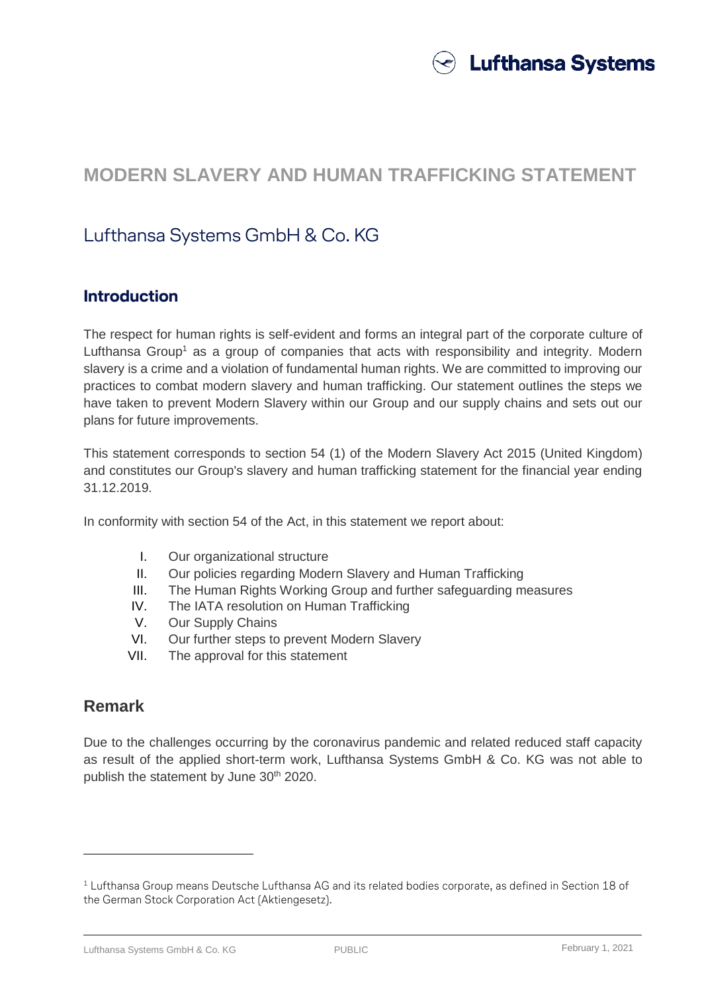

# **MODERN SLAVERY AND HUMAN TRAFFICKING STATEMENT**

## Lufthansa Systems GmbH & Co. KG

### **Introduction**

The respect for human rights is self-evident and forms an integral part of the corporate culture of Lufthansa Group<sup>1</sup> as a group of companies that acts with responsibility and integrity. Modern slavery is a crime and a violation of fundamental human rights. We are committed to improving our practices to combat modern slavery and human trafficking. Our statement outlines the steps we have taken to prevent Modern Slavery within our Group and our supply chains and sets out our plans for future improvements.

This statement corresponds to section 54 (1) of the Modern Slavery Act 2015 (United Kingdom) and constitutes our Group's slavery and human trafficking statement for the financial year ending 31.12.2019.

In conformity with section 54 of the Act, in this statement we report about:

- I. Our organizational structure
- II. Our policies regarding Modern Slavery and Human Trafficking
- III. The Human Rights Working Group and further safeguarding measures
- IV. The IATA resolution on Human Trafficking
- V. Our Supply Chains
- VI. Our further steps to prevent Modern Slavery
- VII. The approval for this statement

#### **Remark**

 $\overline{a}$ 

Due to the challenges occurring by the coronavirus pandemic and related reduced staff capacity as result of the applied short-term work, Lufthansa Systems GmbH & Co. KG was not able to publish the statement by June 30<sup>th</sup> 2020.

Lufthansa Systems GmbH & Co. KG **PUBLIC** February 1, 2021

 $1$  Lufthansa Group means Deutsche Lufthansa AG and its related bodies corporate, as defined in Section 18 of the German Stock Corporation Act (Aktiengesetz).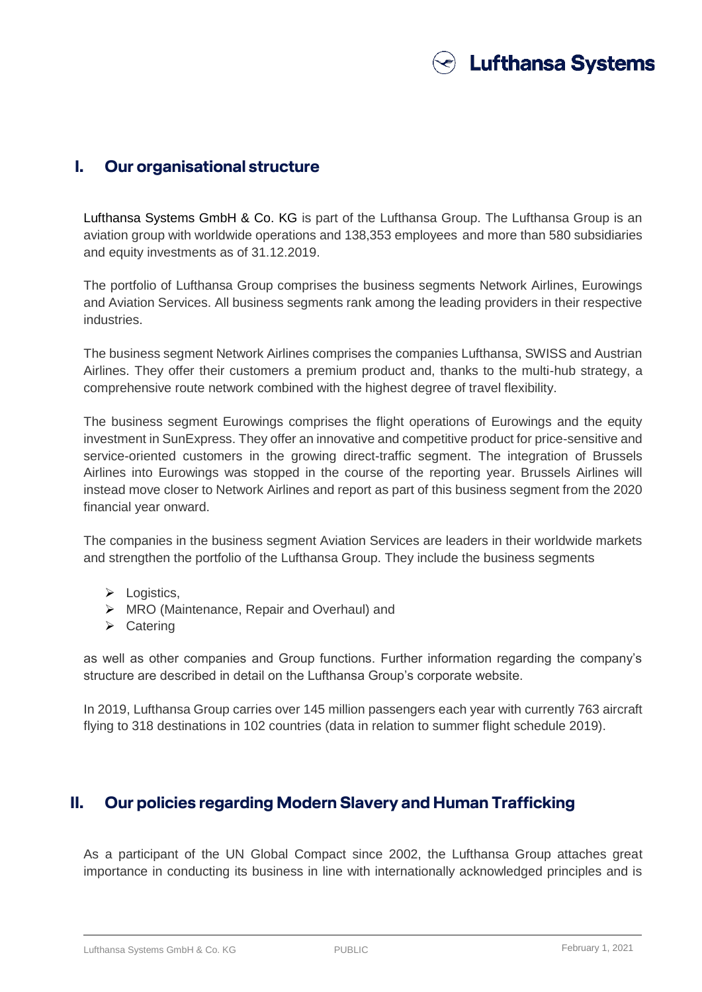

#### **I. Our organisational structure**

Lufthansa Systems GmbH & Co. KG is part of the Lufthansa Group. The Lufthansa Group is an aviation group with worldwide operations and 138,353 employees and more than 580 subsidiaries and equity investments as of 31.12.2019.

The portfolio of Lufthansa Group comprises the business segments Network Airlines, Eurowings and Aviation Services. All business segments rank among the leading providers in their respective industries.

The business segment Network Airlines comprises the companies Lufthansa, SWISS and Austrian Airlines. They offer their customers a premium product and, thanks to the multi-hub strategy, a comprehensive route network combined with the highest degree of travel flexibility.

The business segment Eurowings comprises the flight operations of Eurowings and the equity investment in SunExpress. They offer an innovative and competitive product for price-sensitive and service-oriented customers in the growing direct-traffic segment. The integration of Brussels Airlines into Eurowings was stopped in the course of the reporting year. Brussels Airlines will instead move closer to Network Airlines and report as part of this business segment from the 2020 financial year onward.

The companies in the business segment Aviation Services are leaders in their worldwide markets and strengthen the portfolio of the Lufthansa Group. They include the business segments

- $\triangleright$  Logistics,
- ▶ MRO (Maintenance, Repair and Overhaul) and
- $\triangleright$  Catering

as well as other companies and Group functions. Further information regarding the company's structure are described in detail on the Lufthansa Group's corporate website.

In 2019, Lufthansa Group carries over 145 million passengers each year with currently 763 aircraft flying to 318 destinations in 102 countries (data in relation to summer flight schedule 2019).

## **II. Our policies regarding Modern Slavery and Human Trafficking**

As a participant of the UN Global Compact since 2002, the Lufthansa Group attaches great importance in conducting its business in line with internationally acknowledged principles and is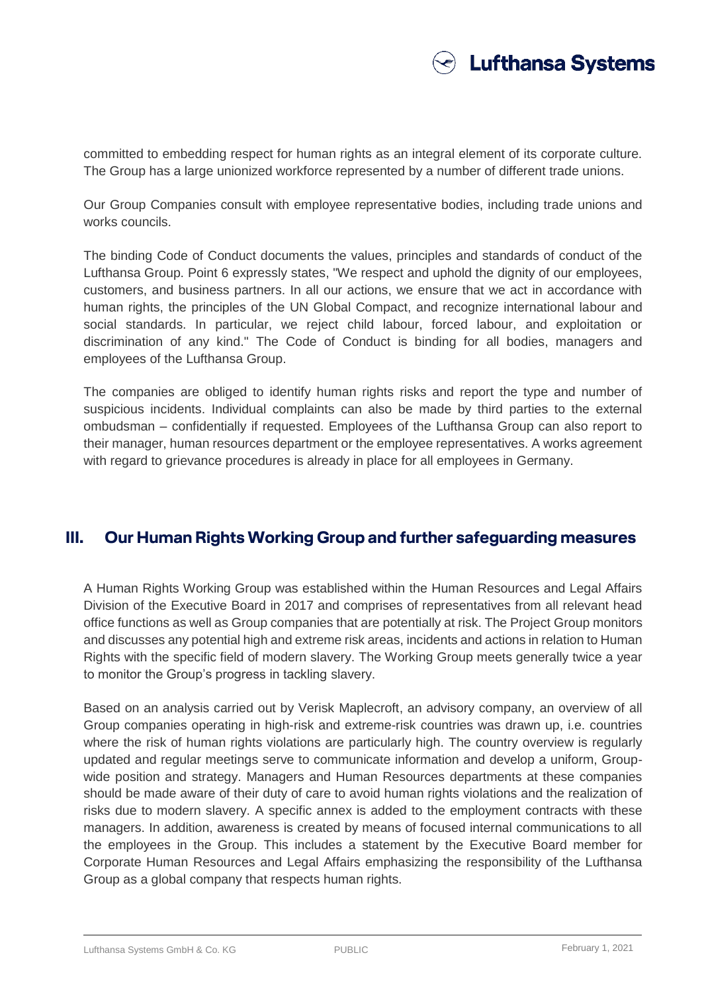

committed to embedding respect for human rights as an integral element of its corporate culture. The Group has a large unionized workforce represented by a number of different trade unions.

Our Group Companies consult with employee representative bodies, including trade unions and works councils.

The binding Code of Conduct documents the values, principles and standards of conduct of the Lufthansa Group. Point 6 expressly states, "We respect and uphold the dignity of our employees, customers, and business partners. In all our actions, we ensure that we act in accordance with human rights, the principles of the UN Global Compact, and recognize international labour and social standards. In particular, we reject child labour, forced labour, and exploitation or discrimination of any kind." The Code of Conduct is binding for all bodies, managers and employees of the Lufthansa Group.

The companies are obliged to identify human rights risks and report the type and number of suspicious incidents. Individual complaints can also be made by third parties to the external ombudsman – confidentially if requested. Employees of the Lufthansa Group can also report to their manager, human resources department or the employee representatives. A works agreement with regard to grievance procedures is already in place for all employees in Germany.

#### **III. Our Human Rights Working Group and further safeguarding measures**

A Human Rights Working Group was established within the Human Resources and Legal Affairs Division of the Executive Board in 2017 and comprises of representatives from all relevant head office functions as well as Group companies that are potentially at risk. The Project Group monitors and discusses any potential high and extreme risk areas, incidents and actions in relation to Human Rights with the specific field of modern slavery. The Working Group meets generally twice a year to monitor the Group's progress in tackling slavery.

Based on an analysis carried out by Verisk Maplecroft, an advisory company, an overview of all Group companies operating in high-risk and extreme-risk countries was drawn up, i.e. countries where the risk of human rights violations are particularly high. The country overview is regularly updated and regular meetings serve to communicate information and develop a uniform, Groupwide position and strategy. Managers and Human Resources departments at these companies should be made aware of their duty of care to avoid human rights violations and the realization of risks due to modern slavery. A specific annex is added to the employment contracts with these managers. In addition, awareness is created by means of focused internal communications to all the employees in the Group. This includes a statement by the Executive Board member for Corporate Human Resources and Legal Affairs emphasizing the responsibility of the Lufthansa Group as a global company that respects human rights.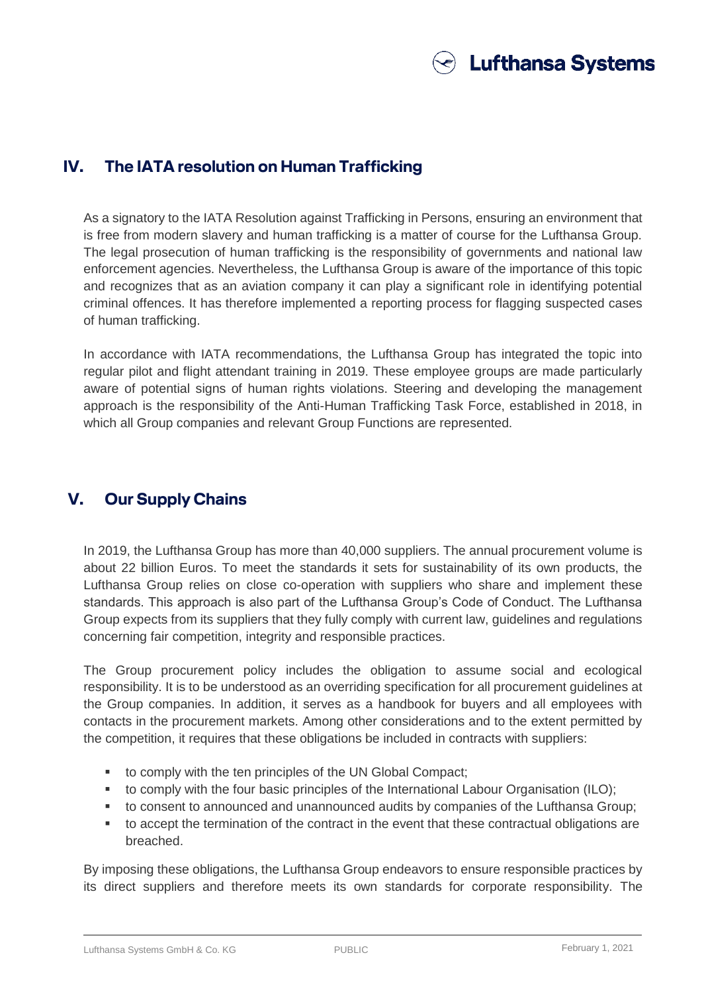

## **IV. The IATA resolution on Human Trafficking**

As a signatory to the IATA Resolution against Trafficking in Persons, ensuring an environment that is free from modern slavery and human trafficking is a matter of course for the Lufthansa Group. The legal prosecution of human trafficking is the responsibility of governments and national law enforcement agencies. Nevertheless, the Lufthansa Group is aware of the importance of this topic and recognizes that as an aviation company it can play a significant role in identifying potential criminal offences. It has therefore implemented a reporting process for flagging suspected cases of human trafficking.

In accordance with IATA recommendations, the Lufthansa Group has integrated the topic into regular pilot and flight attendant training in 2019. These employee groups are made particularly aware of potential signs of human rights violations. Steering and developing the management approach is the responsibility of the Anti-Human Trafficking Task Force, established in 2018, in which all Group companies and relevant Group Functions are represented.

## **V. Our Supply Chains**

In 2019, the Lufthansa Group has more than 40,000 suppliers. The annual procurement volume is about 22 billion Euros. To meet the standards it sets for sustainability of its own products, the Lufthansa Group relies on close co-operation with suppliers who share and implement these standards. This approach is also part of the Lufthansa Group's Code of Conduct. The Lufthansa Group expects from its suppliers that they fully comply with current law, guidelines and regulations concerning fair competition, integrity and responsible practices.

The Group procurement policy includes the obligation to assume social and ecological responsibility. It is to be understood as an overriding specification for all procurement guidelines at the Group companies. In addition, it serves as a handbook for buyers and all employees with contacts in the procurement markets. Among other considerations and to the extent permitted by the competition, it requires that these obligations be included in contracts with suppliers:

- to comply with the ten principles of the UN Global Compact;
- to comply with the four basic principles of the International Labour Organisation (ILO);
- to consent to announced and unannounced audits by companies of the Lufthansa Group;
- to accept the termination of the contract in the event that these contractual obligations are breached.

By imposing these obligations, the Lufthansa Group endeavors to ensure responsible practices by its direct suppliers and therefore meets its own standards for corporate responsibility. The